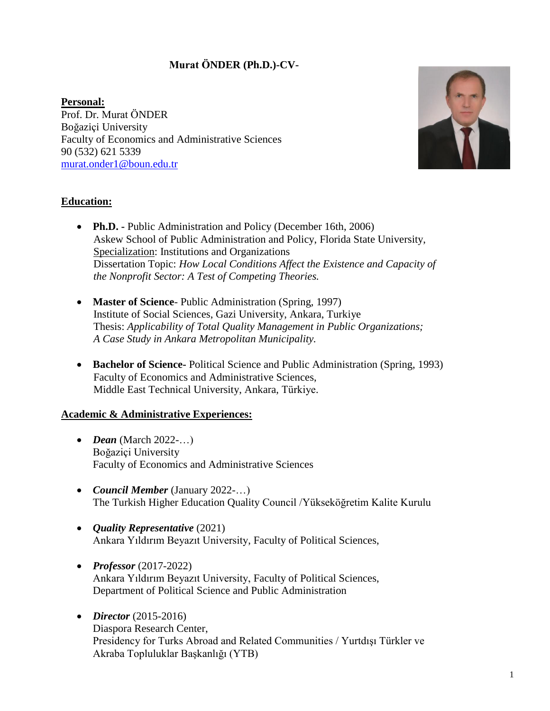# **Murat ÖNDER (Ph.D.)-CV-**

#### **Personal:**

Prof. Dr. Murat ÖNDER Boğaziçi University Faculty of Economics and Administrative Sciences 90 (532) 621 5339 [murat.onder1@boun.edu.tr](mailto:murat.onder1@boun.edu.tr)



## **Education:**

- **Ph.D. -** Public Administration and Policy (December 16th, 2006) Askew School of Public Administration and Policy, Florida State University, Specialization: Institutions and Organizations Dissertation Topic: *How Local Conditions Affect the Existence and Capacity of the Nonprofit Sector: A Test of Competing Theories.*
- **Master of Science** Public Administration (Spring, 1997) Institute of Social Sciences, Gazi University, Ankara, Turkiye Thesis: *Applicability of Total Quality Management in Public Organizations; A Case Study in Ankara Metropolitan Municipality.*
- **Bachelor of Science-** Political Science and Public Administration (Spring, 1993) Faculty of Economics and Administrative Sciences, Middle East Technical University, Ankara, Türkiye.

### **Academic & Administrative Experiences:**

- *Dean* (March 2022-…) Boğaziçi University Faculty of Economics and Administrative Sciences
- *Council Member* (January 2022-…) The Turkish Higher Education Quality Council /Yükseköğretim Kalite Kurulu
- *Quality Representative* (2021) Ankara Yıldırım Beyazıt University, Faculty of Political Sciences,
- *Professor* (2017-2022) Ankara Yıldırım Beyazıt University, Faculty of Political Sciences, Department of Political Science and Public Administration
- *Director* (2015-2016) Diaspora Research Center, Presidency for Turks Abroad and Related Communities / Yurtdışı Türkler ve Akraba Topluluklar Başkanlığı (YTB)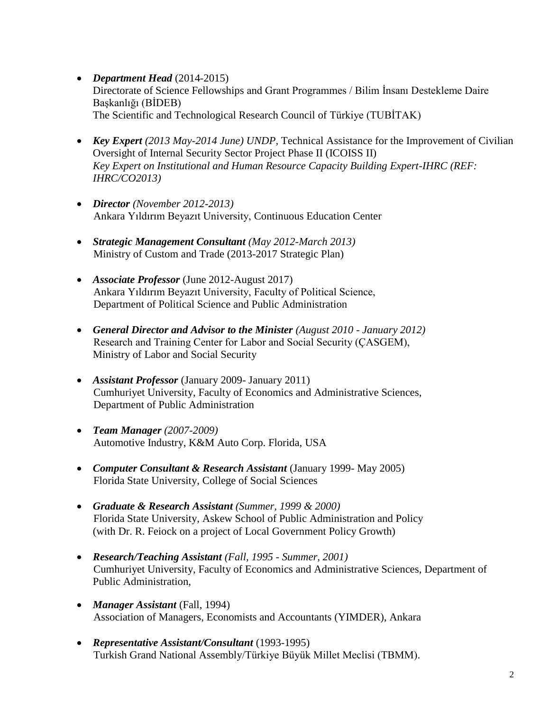- *Department Head* (2014-2015) Directorate of Science Fellowships and Grant Programmes / Bilim İnsanı Destekleme Daire Başkanlığı (BİDEB) The Scientific and Technological Research Council of Türkiye (TUBİTAK)
- *Key Expert (2013 May-2014 June) UNDP,* Technical Assistance for the Improvement of Civilian Oversight of Internal Security Sector Project Phase II (ICOISS II) *Key Expert on Institutional and Human Resource Capacity Building Expert-IHRC (REF: IHRC/CO2013)*
- *Director (November 2012-2013)*  Ankara Yıldırım Beyazıt University, Continuous Education Center
- *Strategic Management Consultant (May 2012-March 2013)* Ministry of Custom and Trade (2013-2017 Strategic Plan)
- *Associate Professor* (June 2012-August 2017) Ankara Yıldırım Beyazıt University, Faculty of Political Science, Department of Political Science and Public Administration
- *General Director and Advisor to the Minister (August 2010 - January 2012)*  Research and Training Center for Labor and Social Security (ÇASGEM), Ministry of Labor and Social Security
- *Assistant Professor* (January 2009- January 2011) Cumhuriyet University, Faculty of Economics and Administrative Sciences, Department of Public Administration
- *Team Manager (2007-2009)* Automotive Industry, K&M Auto Corp. Florida, USA
- *Computer Consultant & Research Assistant* (January 1999- May 2005) Florida State University, College of Social Sciences
- *Graduate & Research Assistant (Summer, 1999 & 2000)* Florida State University, Askew School of Public Administration and Policy (with Dr. R. Feiock on a project of Local Government Policy Growth)
- *Research/Teaching Assistant (Fall, 1995 - Summer, 2001)* Cumhuriyet University, Faculty of Economics and Administrative Sciences, Department of Public Administration,
- *Manager Assistant* (Fall, 1994) Association of Managers, Economists and Accountants (YIMDER), Ankara
- *Representative Assistant/Consultant* (1993-1995) Turkish Grand National Assembly/Türkiye Büyük Millet Meclisi (TBMM).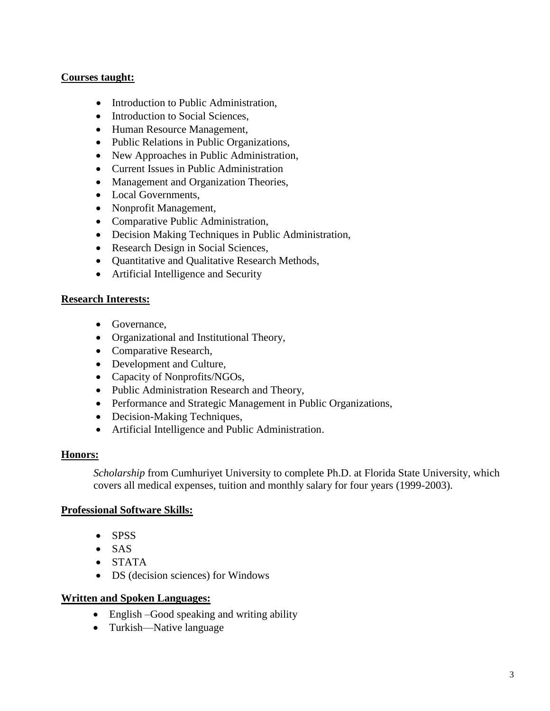## **Courses taught:**

- Introduction to Public Administration,
- Introduction to Social Sciences,
- Human Resource Management,
- Public Relations in Public Organizations,
- New Approaches in Public Administration,
- Current Issues in Public Administration
- Management and Organization Theories,
- Local Governments,
- Nonprofit Management,
- Comparative Public Administration,
- Decision Making Techniques in Public Administration,
- Research Design in Social Sciences,
- Quantitative and Qualitative Research Methods,
- Artificial Intelligence and Security

### **Research Interests:**

- Governance.
- Organizational and Institutional Theory,
- Comparative Research,
- Development and Culture,
- Capacity of Nonprofits/NGOs,
- Public Administration Research and Theory,
- Performance and Strategic Management in Public Organizations,
- Decision-Making Techniques,
- Artificial Intelligence and Public Administration.

## **Honors:**

*Scholarship* from Cumhuriyet University to complete Ph.D. at Florida State University, which covers all medical expenses, tuition and monthly salary for four years (1999-2003).

## **Professional Software Skills:**

- SPSS
- SAS
- STATA
- DS (decision sciences) for Windows

### **Written and Spoken Languages:**

- English –Good speaking and writing ability
- Turkish—Native language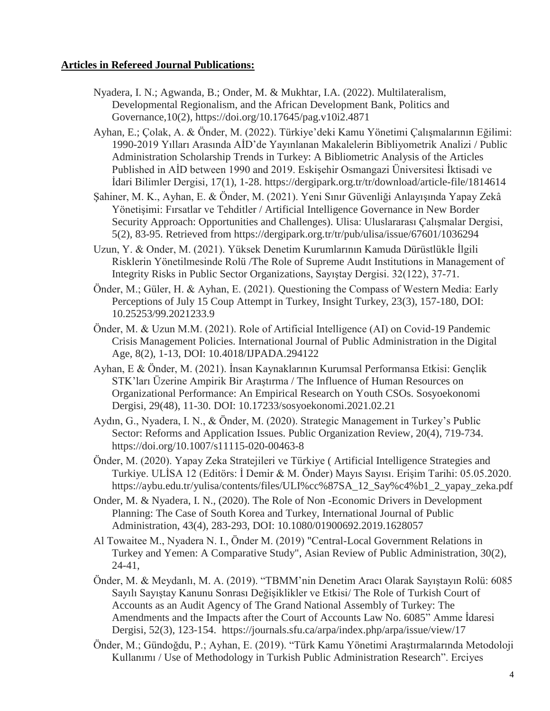### **Articles in Refereed Journal Publications:**

- Nyadera, I. N.; Agwanda, B.; Onder, M. & Mukhtar, I.A. (2022). Multilateralism, Developmental Regionalism, and the African Development Bank, Politics and Governance,10(2), https://doi.org/10.17645/pag.v10i2.4871
- Ayhan, E.; Çolak, A. & Önder, M. (2022). Türkiye'deki Kamu Yönetimi Çalışmalarının Eğilimi: 1990-2019 Yılları Arasında AİD'de Yayınlanan Makalelerin Bibliyometrik Analizi / Public Administration Scholarship Trends in Turkey: A Bibliometric Analysis of the Articles Published in AİD between 1990 and 2019. Eskişehir Osmangazi Üniversitesi İktisadi ve İdari Bilimler Dergisi, 17(1), 1-28. https://dergipark.org.tr/tr/download/article-file/1814614
- Şahiner, M. K., Ayhan, E. & Önder, M. (2021). Yeni Sınır Güvenliği Anlayışında Yapay Zekâ Yönetişimi: Fırsatlar ve Tehditler / Artificial Intelligence Governance in New Border Security Approach: Opportunities and Challenges). Ulisa: Uluslararası Çalışmalar Dergisi, 5(2), 83-95. Retrieved from https://dergipark.org.tr/tr/pub/ulisa/issue/67601/1036294
- Uzun, Y. & Onder, M. (2021). Yüksek Denetim Kurumlarının Kamuda Dürüstlükle İlgili Risklerin Yönetilmesinde Rolü /The Role of Supreme Audıt Institutions in Management of Integrity Risks in Public Sector Organizations, Sayıştay Dergisi. 32(122), 37-71.
- Önder, M.; Güler, H. & Ayhan, E. (2021). Questioning the Compass of Western Media: Early Perceptions of July 15 Coup Attempt in Turkey, Insight Turkey, 23(3), 157-180, DOI: 10.25253/99.2021233.9
- Önder, M. & Uzun M.M. (2021). Role of Artificial Intelligence (AI) on Covid-19 Pandemic Crisis Management Policies. International Journal of Public Administration in the Digital Age, 8(2), 1-13, DOI: 10.4018/IJPADA.294122
- Ayhan, E & Önder, M. (2021). İnsan Kaynaklarının Kurumsal Performansa Etkisi: Gençlik STK'ları Üzerine Ampirik Bir Araştırma / The Influence of Human Resources on Organizational Performance: An Empirical Research on Youth CSOs. Sosyoekonomi Dergisi, 29(48), 11-30. DOI: 10.17233/sosyoekonomi.2021.02.21
- Aydın, G., Nyadera, I. N., & Önder, M. (2020). Strategic Management in Turkey's Public Sector: Reforms and Application Issues. Public Organization Review*,* 20(4), 719-734. https://doi.org/10.1007/s11115-020-00463-8
- Önder, M. (2020). Yapay Zeka Stratejileri ve Türkiye ( Artificial Intelligence Strategies and Turkiye. ULİSA 12 (Editörs: İ Demir & M. Önder) Mayıs Sayısı. Erişim Tarihi: 05.05.2020. https://aybu.edu.tr/yulisa/contents/files/ULI%cc%87SA\_12\_Say%c4%b1\_2\_yapay\_zeka.pdf
- Onder, M. & Nyadera, I. N., (2020). The Role of Non -Economic Drivers in Development Planning: The Case of South Korea and Turkey, International Journal of Public Administration, 43(4), 283-293, DOI: 10.1080/01900692.2019.1628057
- Al Towaitee M., Nyadera N. I., Önder M. (2019) "Central-Local Government Relations in Turkey and Yemen: A Comparative Study", Asian Review of Public Administration, 30(2), 24-41,
- Önder, M. & Meydanlı, M. A. (2019). "TBMM'nin Denetim Aracı Olarak Sayıştayın Rolü: 6085 Sayılı Sayıştay Kanunu Sonrası Değişiklikler ve Etkisi/ The Role of Turkish Court of Accounts as an Audit Agency of The Grand National Assembly of Turkey: The Amendments and the Impacts after the Court of Accounts Law No. 6085" Amme İdaresi Dergisi, 52(3), 123-154. https://journals.sfu.ca/arpa/index.php/arpa/issue/view/17
- Önder, M.; Gündoğdu, P.; Ayhan, E. (2019). "Türk Kamu Yönetimi Araştırmalarında Metodoloji Kullanımı / Use of Methodology in Turkish Public Administration Research". Erciyes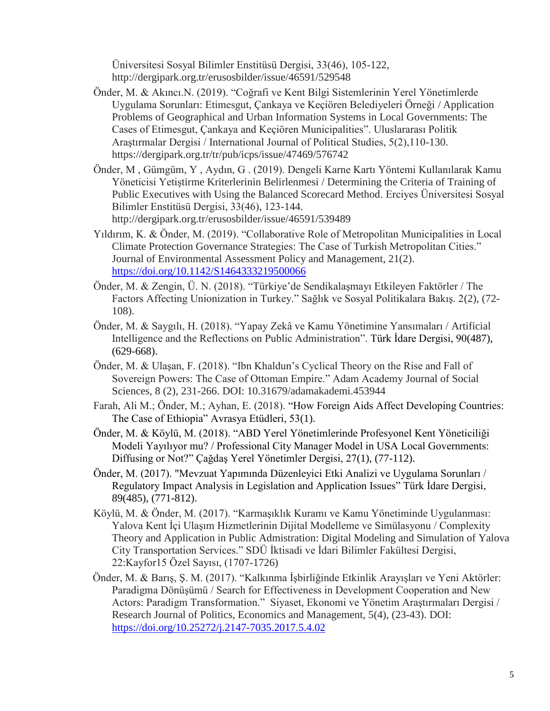Üniversitesi Sosyal Bilimler Enstitüsü Dergisi, 33(46), 105-122, http://dergipark.org.tr/erusosbilder/issue/46591/529548

- Önder, M. & Akıncı.N. (2019). "Coğrafi ve Kent Bilgi Sistemlerinin Yerel Yönetimlerde Uygulama Sorunları: Etimesgut, Çankaya ve Keçiören Belediyeleri Örneği / Application Problems of Geographical and Urban Information Systems in Local Governments: The Cases of Etimesgut, Çankaya and Keçiören Municipalities". Uluslararası Politik Araştırmalar Dergisi / International Journal of Political Studies, 5(2),110-130. https://dergipark.org.tr/tr/pub/icps/issue/47469/576742
- Önder, M , Gümgüm, Y , Aydın, G . (2019). Dengeli Karne Kartı Yöntemi Kullanılarak Kamu Yöneticisi Yetiştirme Kriterlerinin Belirlenmesi / Determining the Criteria of Training of Public Executives with Using the Balanced Scorecard Method. Erciyes Üniversitesi Sosyal Bilimler Enstitüsü Dergisi, 33(46), 123-144. http://dergipark.org.tr/erusosbilder/issue/46591/539489
- Yıldırım, K. & Önder, M. (2019). "Collaborative Role of Metropolitan Municipalities in Local Climate Protection Governance Strategies: The Case of Turkish Metropolitan Cities." Journal of Environmental Assessment Policy and Management, 21(2). <https://doi.org/10.1142/S1464333219500066>
- Önder, M. & Zengin, Ü. N. (2018). "Türkiye'de Sendikalaşmayı Etkileyen Faktörler / The Factors Affecting Unionization in Turkey." Sağlık ve Sosyal Politikalara Bakış. 2(2), (72- 108).
- Önder, M. & Saygılı, H. (2018). "Yapay Zekâ ve Kamu Yönetimine Yansımaları / Artificial Intelligence and the Reflections on Public Administration". Türk İdare Dergisi, 90(487), (629-668).
- Önder, M. & Ulaşan, F. (2018). "Ibn Khaldun's Cyclical Theory on the Rise and Fall of Sovereign Powers: The Case of Ottoman Empire." Adam Academy Journal of Social Sciences, 8 (2), 231-266. DOI: 10.31679/adamakademi.453944
- Farah, Ali M.; Önder, M.; Ayhan, E. (2018). "How Foreign Aids Affect Developing Countries: The Case of Ethiopia" Avrasya Etüdleri, 53(1).
- Önder, M. & Köylü, M. (2018). "ABD Yerel Yönetimlerinde Profesyonel Kent Yöneticiliği Modeli Yayılıyor mu? / Professional City Manager Model in USA Local Governments: Diffusing or Not?" Çağdaş Yerel Yönetimler Dergisi, 27(1), (77-112).
- Önder, M. (2017). "Mevzuat Yapımında Düzenleyici Etki Analizi ve Uygulama Sorunları / Regulatory Impact Analysis in Legislation and Application Issues" Türk İdare Dergisi, 89(485), (771-812).
- Köylü, M. & Önder, M. (2017). "Karmaşıklık Kuramı ve Kamu Yönetiminde Uygulanması: Yalova Kent İçi Ulaşım Hizmetlerinin Dijital Modelleme ve Simülasyonu / Complexity Theory and Application in Public Admistration: Digital Modeling and Simulation of Yalova City Transportation Services." SDÜ İktisadi ve İdari Bilimler Fakültesi Dergisi, 22:Kayfor15 Özel Sayısı, (1707-1726)
- Önder, M. & Barış, Ş. M. (2017). "Kalkınma İşbirliğinde Etkinlik Arayışları ve Yeni Aktörler: Paradigma Dönüşümü / Search for Effectiveness in Development Cooperation and New Actors: Paradigm Transformation." Siyaset, Ekonomi ve Yönetim Araştırmaları Dergisi / Research Journal of Politics, Economics and Management, 5(4), (23-43). DOI: <https://doi.org/10.25272/j.2147-7035.2017.5.4.02>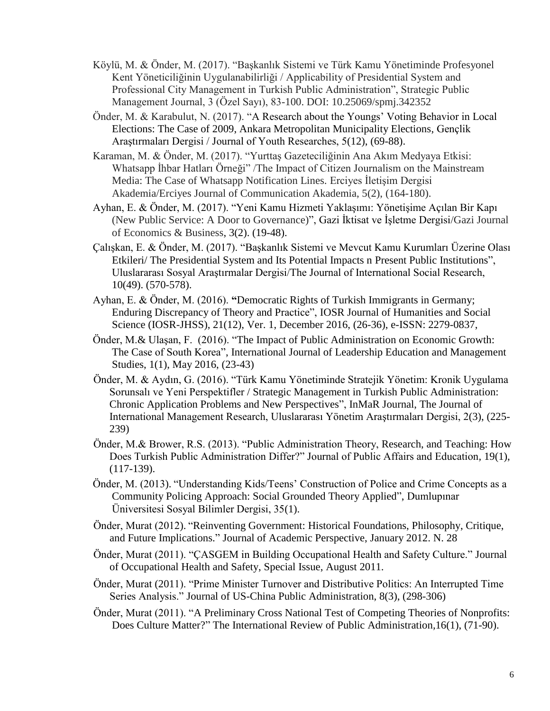- Köylü, M. & Önder, M. (2017). "Başkanlık Sistemi ve Türk Kamu Yönetiminde Profesyonel Kent Yöneticiliğinin Uygulanabilirliği / Applicability of Presidential System and Professional City Management in Turkish Public Administration", Strategic Public Management Journal, 3 (Özel Sayı), 83-100. DOI: 10.25069/spmj.342352
- [Önder,](http://scholar.google.com.tr/citations?user=rDsWMTMAAAAJ&hl=en) M. & Karabulut, N. (2017). "A Research about the Youngs' Voting Behavior in Local Elections: The Case of 2009, Ankara Metropolitan Municipality Elections, Gençlik Araştırmaları Dergisi / Journal of Youth Researches, 5(12), (69-88).
- Karaman, M. & Önder, M. (2017). "Yurttaş Gazeteciliğinin Ana Akım Medyaya Etkisi: Whatsapp İhbar Hatları Örneği" /The Impact of Citizen Journalism on the Mainstream Media: The Case of Whatsapp Notification Lines. Erciyes İletişim Dergisi Akademia/Erciyes Journal of Communication Akademia, 5(2), (164-180).
- Ayhan, E. & Önder, M. (2017). "Yeni Kamu Hizmeti Yaklaşımı: Yönetişime Açılan Bir Kapı (New Public Service: A Door to Governance)", Gazi İktisat ve İşletme Dergisi/Gazi Journal of Economics & Business, 3(2). (19-48).
- Çalışkan, E. & Önder, M. (2017). "Başkanlık Sistemi ve Mevcut Kamu Kurumları Üzerine Olası Etkileri/ The Presidential System and Its Potential Impacts n Present Public Institutions", Uluslararası Sosyal Araştırmalar Dergisi/The Journal of International Social Research, 10(49). (570-578).
- Ayhan, E. & Önder, M. (2016). **"**Democratic Rights of Turkish Immigrants in Germany; Enduring Discrepancy of Theory and Practice", IOSR Journal of Humanities and Social Science (IOSR-JHSS), 21(12), Ver. 1, December 2016, (26-36), e-ISSN: 2279-0837,
- Önder, M.& Ulaşan, F. (2016). "The Impact of Public Administration on Economic Growth: The Case of South Korea", International Journal of Leadership Education and Management Studies, 1(1), May 2016, (23-43)
- Önder, M. & Aydın, G. (2016). "Türk Kamu Yönetiminde Stratejik Yönetim: Kronik Uygulama Sorunsalı ve Yeni Perspektifler / Strategic Management in Turkish Public Administration: Chronic Application Problems and New Perspectives", InMaR Journal, The Journal of International Management Research, Uluslararası Yönetim Araştırmaları Dergisi, 2(3), (225- 239)
- Önder, M.& Brower, R.S. (2013). "Public Administration Theory, Research, and Teaching: How Does Turkish Public Administration Differ?" Journal of Public Affairs and Education*,* 19(1), (117-139).
- Önder, M. (2013). "Understanding Kids/Teens' Construction of Police and Crime Concepts as a Community Policing Approach: Social Grounded Theory Applied", Dumlupınar Üniversitesi Sosyal Bilimler Dergisi, 35(1).
- Önder, Murat (2012). "Reinventing Government: Historical Foundations, Philosophy, Critique, and Future Implications." Journal of Academic Perspective, January 2012. N. 28
- Önder, Murat (2011). "ÇASGEM in Building Occupational Health and Safety Culture." Journal of Occupational Health and Safety, Special Issue, August 2011.
- Önder, Murat (2011). "Prime Minister Turnover and Distributive Politics: An Interrupted Time Series Analysis." Journal of US-China Public Administration, 8(3), (298-306)
- Önder, Murat (2011). "A Preliminary Cross National Test of Competing Theories of Nonprofits: Does Culture Matter?" The International Review of Public Administration*,*16(1), (71-90).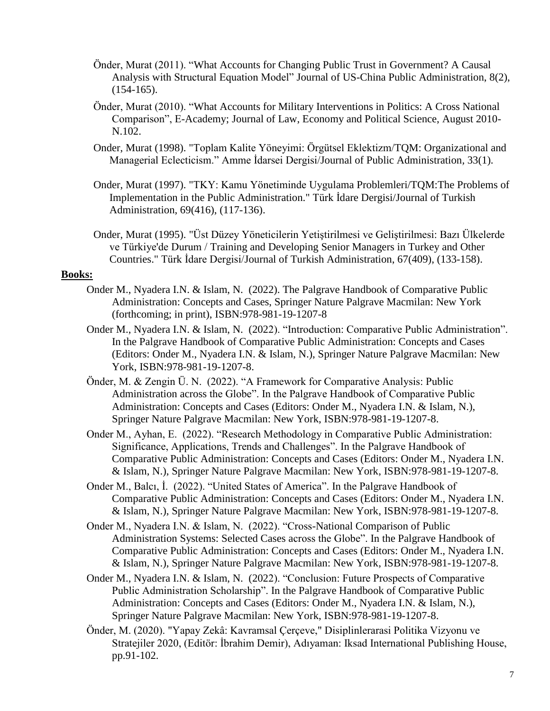- Önder, Murat (2011). "What Accounts for Changing Public Trust in Government? A Causal Analysis with Structural Equation Model" Journal of US-China Public Administration, 8(2),  $(154-165)$ .
- Önder, Murat (2010). "What Accounts for Military Interventions in Politics: A Cross National Comparison", E-Academy; Journal of Law, Economy and Political Science, August 2010- N.102.
- Onder, Murat (1998). "Toplam Kalite Yöneyimi: Örgütsel Eklektizm/TQM: Organizational and Managerial Eclecticism." Amme İdarsei Dergisi/Journal of Public Administration*,* 33(1).
- Onder, Murat (1997). "TKY: Kamu Yönetiminde Uygulama Problemleri/TQM:The Problems of Implementation in the Public Administration." Türk İdare Dergisi/Journal of Turkish Administration, 69(416), (117-136).
- Onder, Murat (1995). "Üst Düzey Yöneticilerin Yetiştirilmesi ve Geliştirilmesi: Bazı Ülkelerde ve Türkiye'de Durum / Training and Developing Senior Managers in Turkey and Other Countries." Türk İdare Dergisi/Journal of Turkish Administration, 67(409), (133-158).

#### **Books:**

- Onder M., Nyadera I.N. & Islam, N. (2022). The Palgrave Handbook of Comparative Public Administration: Concepts and Cases, Springer Nature Palgrave Macmilan: New York (forthcoming; in print), ISBN:978-981-19-1207-8
- Onder M., Nyadera I.N. & Islam, N. (2022). "Introduction: Comparative Public Administration". In the Palgrave Handbook of Comparative Public Administration: Concepts and Cases (Editors: Onder M., Nyadera I.N. & Islam, N.), Springer Nature Palgrave Macmilan: New York, ISBN:978-981-19-1207-8.
- Önder, M. & Zengin Ü. N. (2022). "A Framework for Comparative Analysis: Public Administration across the Globe". In the Palgrave Handbook of Comparative Public Administration: Concepts and Cases (Editors: Onder M., Nyadera I.N. & Islam, N.), Springer Nature Palgrave Macmilan: New York, ISBN:978-981-19-1207-8.
- Onder M., Ayhan, E. (2022). "Research Methodology in Comparative Public Administration: Significance, Applications, Trends and Challenges". In the Palgrave Handbook of Comparative Public Administration: Concepts and Cases (Editors: Onder M., Nyadera I.N. & Islam, N.), Springer Nature Palgrave Macmilan: New York, ISBN:978-981-19-1207-8.
- Onder M., Balcı, İ. (2022). "United States of America". In the Palgrave Handbook of Comparative Public Administration: Concepts and Cases (Editors: Onder M., Nyadera I.N. & Islam, N.), Springer Nature Palgrave Macmilan: New York, ISBN:978-981-19-1207-8.
- Onder M., Nyadera I.N. & Islam, N. (2022). "Cross-National Comparison of Public Administration Systems: Selected Cases across the Globe". In the Palgrave Handbook of Comparative Public Administration: Concepts and Cases (Editors: Onder M., Nyadera I.N. & Islam, N.), Springer Nature Palgrave Macmilan: New York, ISBN:978-981-19-1207-8.
- Onder M., Nyadera I.N. & Islam, N. (2022). "Conclusion: Future Prospects of Comparative Public Administration Scholarship". In the Palgrave Handbook of Comparative Public Administration: Concepts and Cases (Editors: Onder M., Nyadera I.N. & Islam, N.), Springer Nature Palgrave Macmilan: New York, ISBN:978-981-19-1207-8.
- Önder, M. (2020). "Yapay Zekâ: Kavramsal Çerçeve," Disiplinlerarasi Politika Vizyonu ve Stratejiler 2020, (Editör: İbrahim Demir), Adıyaman: Iksad International Publishing House, pp.91-102.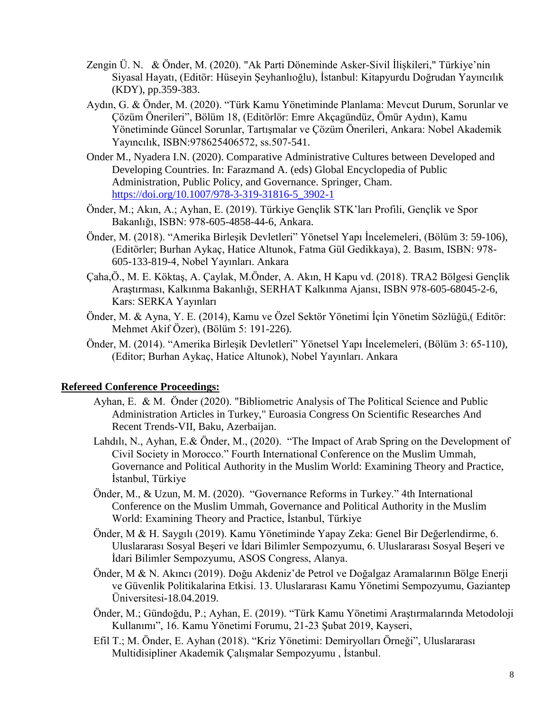- Zengin Ü. N. & Önder, M. (2020). "Ak Parti Döneminde Asker-Sivil İlişkileri," Türkiye'nin Siyasal Hayatı, (Editör: Hüseyin Şeyhanlıoğlu), İstanbul: Kitapyurdu Doğrudan Yayıncılık (KDY), pp.359-383.
- Aydın, G. & Önder, M. (2020). "Türk Kamu Yönetiminde Planlama: Mevcut Durum, Sorunlar ve Çözüm Önerileri", Bölüm 18, (Editörlör: Emre Akçagündüz, Ömür Aydın), Kamu Yönetiminde Güncel Sorunlar, Tartışmalar ve Çözüm Önerileri, Ankara: Nobel Akademik Yayıncılık, ISBN:978625406572, ss.507-541.
- Onder M., Nyadera I.N. (2020). Comparative Administrative Cultures between Developed and Developing Countries. In: Farazmand A. (eds) Global Encyclopedia of Public Administration, Public Policy, and Governance. Springer, Cham. [https://doi.org/10.1007/978-3-319-31816-5\\_3902-1](https://doi.org/10.1007/978-3-319-31816-5_3902-1)
- Önder, M.; Akın, A.; Ayhan, E. (2019). Türkiye Gençlik STK'ları Profili, Gençlik ve Spor Bakanlığı, ISBN: 978-605-4858-44-6, Ankara.
- Önder, M. (2018). "Amerika Birleşik Devletleri" Yönetsel Yapı İncelemeleri, (Bölüm 3: 59-106), (Editörler; Burhan Aykaç, Hatice Altunok, Fatma Gül Gedikkaya), 2. Basım, ISBN: 978- 605-133-819-4, Nobel Yayınları. Ankara
- Çaha,Ö., M. E. Köktaş, A. Çaylak, M.Önder, A. Akın, H Kapu vd. (2018). TRA2 Bölgesi Gençlik Araştırması, Kalkınma Bakanlığı, SERHAT Kalkınma Ajansı, ISBN 978-605-68045-2-6, Kars: SERKA Yayınları
- Önder, M. & Ayna, Y. E. (2014), Kamu ve Özel Sektör Yönetimi İçin Yönetim Sözlüğü,( Editör: Mehmet Akif Özer), (Bölüm 5: 191-226).
- Önder, M. (2014). "Amerika Birleşik Devletleri" Yönetsel Yapı İncelemeleri, (Bölüm 3: 65-110), (Editor; Burhan Aykaç, Hatice Altunok), Nobel Yayınları. Ankara

## **Refereed Conference Proceedings:**

- Ayhan, E. & M. Önder (2020). "Bibliometric Analysis of The Political Science and Public Administration Articles in Turkey," Euroasia Congress On Scientific Researches And Recent Trends-VII, Baku, Azerbaijan.
- Lahdılı, N., Ayhan, E.& Önder, M., (2020). "The Impact of Arab Spring on the Development of Civil Society in Morocco." Fourth International Conference on the Muslim Ummah, Governance and Political Authority in the Muslim World: Examining Theory and Practice, İstanbul, Türkiye
- Önder, M., & Uzun, M. M. (2020). "Governance Reforms in Turkey." 4th International Conference on the Muslim Ummah, Governance and Political Authority in the Muslim World: Examining Theory and Practice, İstanbul, Türkiye
- Önder, M & H. Saygılı (2019). Kamu Yönetiminde Yapay Zeka: Genel Bir Değerlendirme, 6. Uluslararası Sosyal Beşeri ve İdari Bilimler Sempozyumu, 6. Uluslararası Sosyal Beşeri ve İdari Bilimler Sempozyumu, ASOS Congress, Alanya.
- Önder, M & N. Akıncı (2019). Doğu Akdeniz'de Petrol ve Doğalgaz Aramalarının Bölge Enerji ve Güvenlik Politikalarina Etkisi. 13. Uluslararası Kamu Yönetimi Sempozyumu, Gaziantep Üniversitesi-18.04.2019.
- Önder, M.; Gündoğdu, P.; Ayhan, E. (2019). "Türk Kamu Yönetimi Araştırmalarında Metodoloji Kullanımı", 16. Kamu Yönetimi Forumu, 21-23 Şubat 2019, Kayseri,
- Efil T.; M. Önder, E. Ayhan (2018). "Kriz Yönetimi: Demiryolları Örneği", Uluslararası Multidisipliner Akademik Çalışmalar Sempozyumu , İstanbul.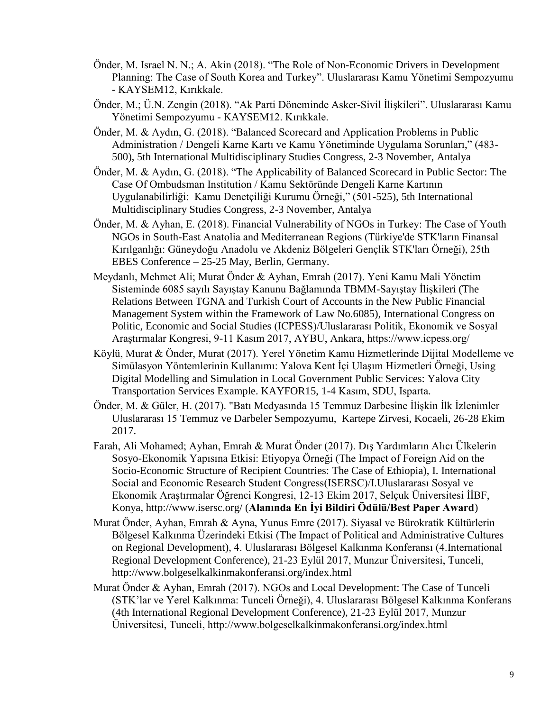- Önder, M. Israel N. N.; A. Akin (2018). "The Role of Non-Economic Drivers in Development Planning: The Case of South Korea and Turkey". Uluslararası Kamu Yönetimi Sempozyumu - KAYSEM12, Kırıkkale.
- Önder, M.; Ü.N. Zengin (2018). "Ak Parti Döneminde Asker-Sivil İlişkileri". Uluslararası Kamu Yönetimi Sempozyumu - KAYSEM12. Kırıkkale.
- Önder, M. & Aydın, G. (2018). "Balanced Scorecard and Application Problems in Public Administration / Dengeli Karne Kartı ve Kamu Yönetiminde Uygulama Sorunları," (483- 500), 5th International Multidisciplinary Studies Congress, 2-3 November, Antalya
- Önder, M. & Aydın, G. (2018). "The Applicability of Balanced Scorecard in Public Sector: The Case Of Ombudsman Institution / Kamu Sektöründe Dengeli Karne Kartının Uygulanabilirliği: Kamu Denetçiliği Kurumu Örneği," (501-525), 5th International Multidisciplinary Studies Congress, 2-3 November, Antalya
- Önder, M. & Ayhan, E. (2018). Financial Vulnerability of NGOs in Turkey: The Case of Youth NGOs in South-East Anatolia and Mediterranean Regions (Türkiye'de STK'ların Finansal Kırılganlığı: Güneydoğu Anadolu ve Akdeniz Bölgeleri Gençlik STK'ları Örneği), 25th EBES Conference – 25-25 May, Berlin, Germany.
- Meydanlı, Mehmet Ali; Murat Önder & Ayhan, Emrah (2017). Yeni Kamu Mali Yönetim Sisteminde 6085 sayılı Sayıştay Kanunu Bağlamında TBMM-Sayıştay İlişkileri (The Relations Between TGNA and Turkish Court of Accounts in the New Public Financial Management System within the Framework of Law No.6085), International Congress on Politic, Economic and Social Studies (ICPESS)/Uluslararası Politik, Ekonomik ve Sosyal Araştırmalar Kongresi, 9-11 Kasım 2017, AYBU, Ankara, https://www.icpess.org/
- Köylü, Murat & Önder, Murat (2017). Yerel Yönetim Kamu Hizmetlerinde Dijital Modelleme ve Simülasyon Yöntemlerinin Kullanımı: Yalova Kent İçi Ulaşım Hizmetleri Örneği, Using Digital Modelling and Simulation in Local Government Public Services: Yalova City Transportation Services Example. KAYFOR15, 1-4 Kasım, SDU, Isparta.
- Önder, M. & Güler, H. (2017). "Batı Medyasında 15 Temmuz Darbesine İlişkin İlk İzlenimler Uluslararası 15 Temmuz ve Darbeler Sempozyumu, Kartepe Zirvesi, Kocaeli, 26-28 Ekim 2017.
- Farah, Ali Mohamed; Ayhan, Emrah & Murat Önder (2017). Dış Yardımların Alıcı Ülkelerin Sosyo-Ekonomik Yapısına Etkisi: Etiyopya Örneği (The Impact of Foreign Aid on the Socio-Economic Structure of Recipient Countries: The Case of Ethiopia), I. International Social and Economic Research Student Congress(ISERSC)/I.Uluslararası Sosyal ve Ekonomik Araştırmalar Öğrenci Kongresi, 12-13 Ekim 2017, Selçuk Üniversitesi İİBF, Konya, http://www.isersc.org/ (**Alanında En İyi Bildiri Ödülü/Best Paper Award**)
- Murat Önder, Ayhan, Emrah & Ayna, Yunus Emre (2017). Siyasal ve Bürokratik Kültürlerin Bölgesel Kalkınma Üzerindeki Etkisi (The Impact of Political and Administrative Cultures on Regional Development), 4. Uluslararası Bölgesel Kalkınma Konferansı (4.International Regional Development Conference), 21-23 Eylül 2017, Munzur Üniversitesi, Tunceli, http://www.bolgeselkalkinmakonferansi.org/index.html
- Murat Önder & Ayhan, Emrah (2017). NGOs and Local Development: The Case of Tunceli (STK'lar ve Yerel Kalkınma: Tunceli Örneği), 4. Uluslararası Bölgesel Kalkınma Konferans (4th International Regional Development Conference), 21-23 Eylül 2017, Munzur Üniversitesi, Tunceli, http://www.bolgeselkalkinmakonferansi.org/index.html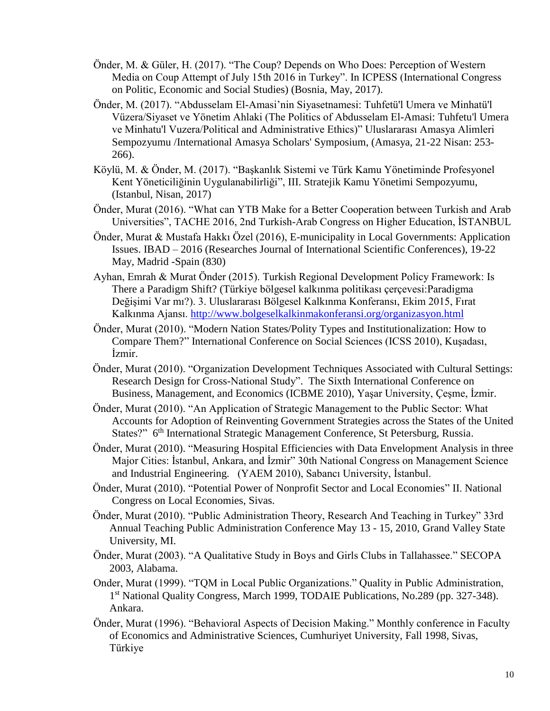- Önder, M. & Güler, H. (2017). "The Coup? Depends on Who Does: Perception of Western Media on Coup Attempt of July 15th 2016 in Turkey". In ICPESS (International Congress on Politic, Economic and Social Studies) (Bosnia, May, 2017).
- Önder, M. (2017). "Abdusselam El-Amasi'nin Siyasetnamesi: Tuhfetü'l Umera ve Minhatü'l Vüzera/Siyaset ve Yönetim Ahlaki (The Politics of Abdusselam El-Amasi: Tuhfetu'l Umera ve Minhatu'l Vuzera/Political and Administrative Ethics)" Uluslararası Amasya Alimleri Sempozyumu /International Amasya Scholars' Symposium, (Amasya, 21-22 Nisan: 253- 266).
- Köylü, M. & Önder, M. (2017). "Başkanlık Sistemi ve Türk Kamu Yönetiminde Profesyonel Kent Yöneticiliğinin Uygulanabilirliği", III. Stratejik Kamu Yönetimi Sempozyumu, (Istanbul, Nisan, 2017)
- Önder, Murat (2016). "What can YTB Make for a Better Cooperation between Turkish and Arab Universities", TACHE 2016, 2nd Turkish-Arab Congress on Higher Education, İSTANBUL
- Önder, Murat & Mustafa Hakkı Özel (2016), E-municipality in Local Governments: Application Issues. IBAD – 2016 (Researches Journal of International Scientific Conferences), 19-22 May, Madrid -Spain (830)
- Ayhan, Emrah & Murat Önder (2015). Turkish Regional Development Policy Framework: Is There a Paradigm Shift? (Türkiye bölgesel kalkınma politikası çerçevesi:Paradigma Değişimi Var mı?). 3. Uluslararası Bölgesel Kalkınma Konferansı, Ekim 2015, Fırat Kalkınma Ajansı.<http://www.bolgeselkalkinmakonferansi.org/organizasyon.html>
- Önder, Murat (2010). "Modern Nation States/Polity Types and Institutionalization: How to Compare Them?" International Conference on Social Sciences (ICSS 2010), Kuşadası, İzmir.
- Önder, Murat (2010). "Organization Development Techniques Associated with Cultural Settings: Research Design for Cross-National Study". The Sixth International Conference on Business, Management, and Economics (ICBME 2010), Yaşar University, Çeşme, İzmir.
- Önder, Murat (2010). "An Application of Strategic Management to the Public Sector: What Accounts for Adoption of Reinventing Government Strategies across the States of the United States?" 6<sup>th</sup> International Strategic Management Conference, St Petersburg, Russia.
- Önder, Murat (2010). "Measuring Hospital Efficiencies with Data Envelopment Analysis in three Major Cities: İstanbul, Ankara, and İzmir" 30th National Congress on Management Science and Industrial Engineering. (YAEM 2010), Sabancı University, İstanbul.
- Önder, Murat (2010). "Potential Power of Nonprofit Sector and Local Economies" II. National Congress on Local Economies, Sivas.
- Önder, Murat (2010). "Public Administration Theory, Research And Teaching in Turkey" 33rd Annual Teaching Public Administration Conference May 13 - 15, 2010, Grand Valley State University, MI.
- Önder, Murat (2003). "A Qualitative Study in Boys and Girls Clubs in Tallahassee." SECOPA 2003, Alabama.
- Onder, Murat (1999). "TQM in Local Public Organizations." Quality in Public Administration, 1<sup>st</sup> National Quality Congress, March 1999, TODAIE Publications, No.289 (pp. 327-348). Ankara.
- Önder, Murat (1996). "Behavioral Aspects of Decision Making." Monthly conference in Faculty of Economics and Administrative Sciences, Cumhuriyet University, Fall 1998, Sivas, Türkiye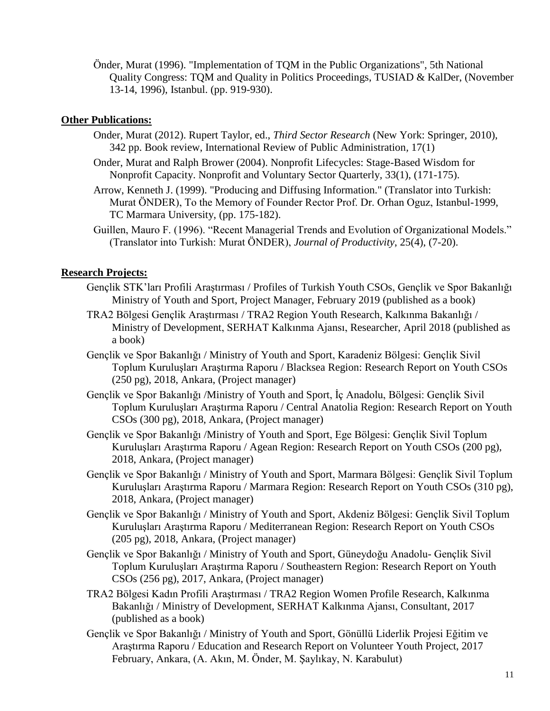Önder, Murat (1996). "Implementation of TQM in the Public Organizations", 5th National Quality Congress: TQM and Quality in Politics Proceedings, TUSIAD & KalDer, (November 13-14, 1996), Istanbul. (pp. 919-930).

### **Other Publications:**

- Onder, Murat (2012). Rupert Taylor, ed., *Third Sector Research* (New York: Springer, 2010), 342 pp. Book review, International Review of Public Administration*,* 17(1)
- Onder, Murat and Ralph Brower (2004). Nonprofit Lifecycles: Stage-Based Wisdom for Nonprofit Capacity. Nonprofit and Voluntary Sector Quarterly*,* 33(1), (171-175).
- Arrow, Kenneth J. (1999). "Producing and Diffusing Information." (Translator into Turkish: Murat ÖNDER), To the Memory of Founder Rector Prof. Dr. Orhan Oguz, Istanbul-1999, TC Marmara University, (pp. 175-182).
- Guillen, Mauro F. (1996). "Recent Managerial Trends and Evolution of Organizational Models." (Translator into Turkish: Murat ÖNDER), *Journal of Productivity*, 25(4), (7-20).

## **Research Projects:**

- Gençlik STK'ları Profili Araştırması / Profiles of Turkish Youth CSOs, Gençlik ve Spor Bakanlığı Ministry of Youth and Sport, Project Manager, February 2019 (published as a book)
- TRA2 Bölgesi Gençlik Araştırması / TRA2 Region Youth Research, Kalkınma Bakanlığı / Ministry of Development, SERHAT Kalkınma Ajansı, Researcher, April 2018 (published as a book)
- Gençlik ve Spor Bakanlığı / Ministry of Youth and Sport, Karadeniz Bölgesi: Gençlik Sivil Toplum Kuruluşları Araştırma Raporu / Blacksea Region: Research Report on Youth CSOs (250 pg), 2018, Ankara, (Project manager)
- Gençlik ve Spor Bakanlığı /Ministry of Youth and Sport, İç Anadolu, Bölgesi: Gençlik Sivil Toplum Kuruluşları Araştırma Raporu / Central Anatolia Region: Research Report on Youth CSOs (300 pg), 2018, Ankara, (Project manager)
- Gençlik ve Spor Bakanlığı /Ministry of Youth and Sport, Ege Bölgesi: Gençlik Sivil Toplum Kuruluşları Araştırma Raporu / Agean Region: Research Report on Youth CSOs (200 pg), 2018, Ankara, (Project manager)
- Gençlik ve Spor Bakanlığı / Ministry of Youth and Sport, Marmara Bölgesi: Gençlik Sivil Toplum Kuruluşları Araştırma Raporu / Marmara Region: Research Report on Youth CSOs (310 pg), 2018, Ankara, (Project manager)
- Gençlik ve Spor Bakanlığı / Ministry of Youth and Sport, Akdeniz Bölgesi: Gençlik Sivil Toplum Kuruluşları Araştırma Raporu / Mediterranean Region: Research Report on Youth CSOs (205 pg), 2018, Ankara, (Project manager)
- Gençlik ve Spor Bakanlığı / Ministry of Youth and Sport, Güneydoğu Anadolu- Gençlik Sivil Toplum Kuruluşları Araştırma Raporu / Southeastern Region: Research Report on Youth CSOs (256 pg), 2017, Ankara, (Project manager)
- TRA2 Bölgesi Kadın Profili Araştırması / TRA2 Region Women Profile Research, Kalkınma Bakanlığı / Ministry of Development, SERHAT Kalkınma Ajansı, Consultant, 2017 (published as a book)
- Gençlik ve Spor Bakanlığı / Ministry of Youth and Sport, Gönüllü Liderlik Projesi Eğitim ve Araştırma Raporu / Education and Research Report on Volunteer Youth Project, 2017 February, Ankara, (A. Akın, M. Önder, M. Şaylıkay, N. Karabulut)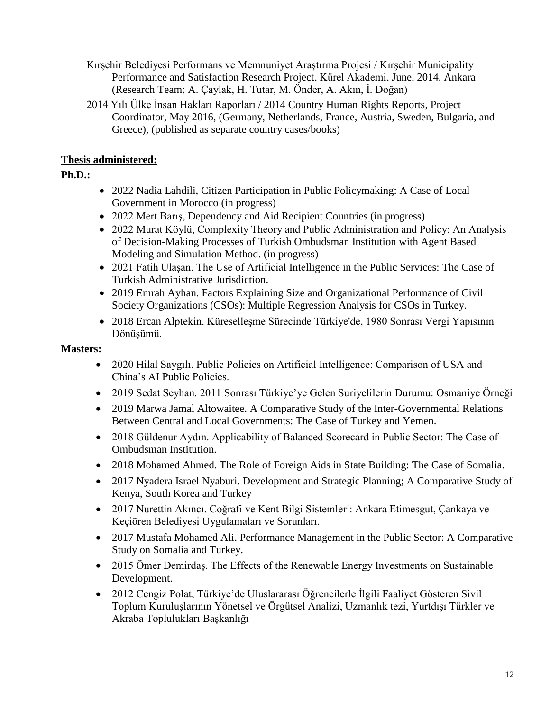- Kırşehir Belediyesi Performans ve Memnuniyet Araştırma Projesi / Kırşehir Municipality Performance and Satisfaction Research Project, Kürel Akademi, June, 2014, Ankara (Research Team; A. Çaylak, H. Tutar, M. Önder, A. Akın, İ. Doğan)
- 2014 Yılı Ülke İnsan Hakları Raporları / 2014 Country Human Rights Reports, Project Coordinator, May 2016, (Germany, Netherlands, France, Austria, Sweden, Bulgaria, and Greece), (published as separate country cases/books)

# **Thesis administered:**

# **Ph.D.:**

- 2022 Nadia Lahdili, Citizen Participation in Public Policymaking: A Case of Local Government in Morocco (in progress)
- 2022 Mert Barış, Dependency and Aid Recipient Countries (in progress)
- 2022 Murat Köylü, Complexity Theory and Public Administration and Policy: An Analysis of Decision-Making Processes of Turkish Ombudsman Institution with Agent Based Modeling and Simulation Method. (in progress)
- 2021 Fatih Ulaşan. The Use of Artificial Intelligence in the Public Services: The Case of Turkish Administrative Jurisdiction.
- 2019 Emrah Ayhan. Factors Explaining Size and Organizational Performance of Civil Society Organizations (CSOs): Multiple Regression Analysis for CSOs in Turkey.
- 2018 Ercan Alptekin. Küreselleşme Sürecinde Türkiye'de, 1980 Sonrası Vergi Yapısının Dönüşümü.

# **Masters:**

- 2020 Hilal Saygılı. Public Policies on Artificial Intelligence: Comparison of USA and China's AI Public Policies.
- 2019 Sedat Seyhan. 2011 Sonrası Türkiye'ye Gelen Suriyelilerin Durumu: Osmaniye Örneği
- 2019 Marwa Jamal Altowaitee. A Comparative Study of the Inter-Governmental Relations Between Central and Local Governments: The Case of Turkey and Yemen.
- 2018 Güldenur Aydın. Applicability of Balanced Scorecard in Public Sector: The Case of Ombudsman Institution.
- 2018 Mohamed Ahmed. The Role of Foreign Aids in State Building: The Case of Somalia.
- 2017 Nyadera Israel Nyaburi. Development and Strategic Planning; A Comparative Study of Kenya, South Korea and Turkey
- 2017 Nurettin Akıncı. Coğrafi ve Kent Bilgi Sistemleri: Ankara Etimesgut, Çankaya ve Keçiören Belediyesi Uygulamaları ve Sorunları.
- 2017 Mustafa Mohamed Ali. Performance Management in the Public Sector: A Comparative Study on Somalia and Turkey.
- 2015 Ömer Demirdas. The Effects of the Renewable Energy Investments on Sustainable Development.
- 2012 Cengiz Polat, Türkiye'de Uluslararası Öğrencilerle İlgili Faaliyet Gösteren Sivil Toplum Kuruluşlarının Yönetsel ve Örgütsel Analizi, Uzmanlık tezi, Yurtdışı Türkler ve Akraba Toplulukları Başkanlığı